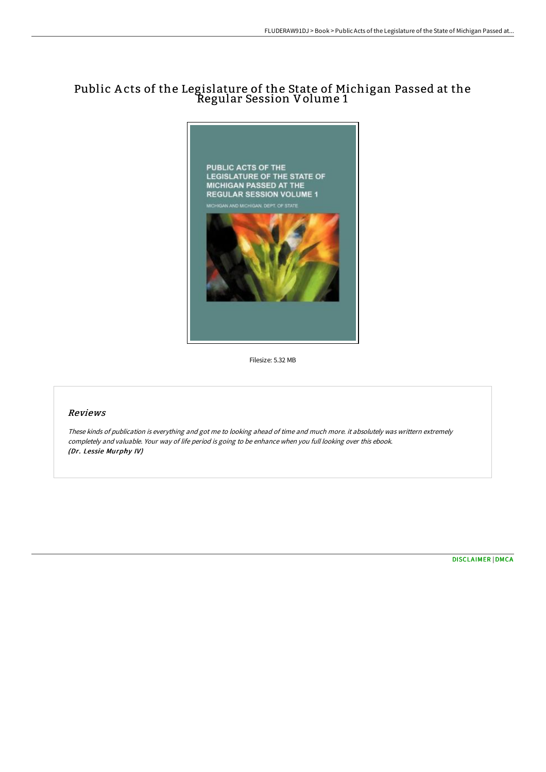# Public A cts of the Legislature of the State of Michigan Passed at the Regular Session Volume 1



Filesize: 5.32 MB

#### Reviews

These kinds of publication is everything and got me to looking ahead of time and much more. it absolutely was writtern extremely completely and valuable. Your way of life period is going to be enhance when you full looking over this ebook. (Dr. Lessie Murphy IV)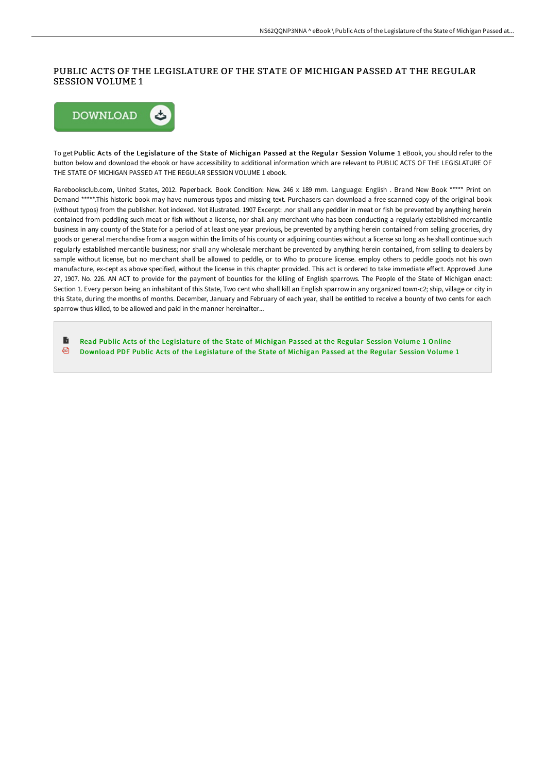## PUBLIC ACTS OF THE LEGISLATURE OF THE STATE OF MICHIGAN PASSED AT THE REGULAR SESSION VOLUME 1



To get Public Acts of the Legislature of the State of Michigan Passed at the Regular Session Volume 1 eBook, you should refer to the button below and download the ebook or have accessibility to additional information which are relevant to PUBLIC ACTS OF THE LEGISLATURE OF THE STATE OF MICHIGAN PASSED AT THE REGULAR SESSION VOLUME 1 ebook.

Rarebooksclub.com, United States, 2012. Paperback. Book Condition: New. 246 x 189 mm. Language: English . Brand New Book \*\*\*\*\* Print on Demand \*\*\*\*\*.This historic book may have numerous typos and missing text. Purchasers can download a free scanned copy of the original book (without typos) from the publisher. Not indexed. Not illustrated. 1907 Excerpt: .nor shall any peddler in meat or fish be prevented by anything herein contained from peddling such meat or fish without a license, nor shall any merchant who has been conducting a regularly established mercantile business in any county of the State for a period of at least one year previous, be prevented by anything herein contained from selling groceries, dry goods or general merchandise from a wagon within the limits of his county or adjoining counties without a license so long as he shall continue such regularly established mercantile business; nor shall any wholesale merchant be prevented by anything herein contained, from selling to dealers by sample without license, but no merchant shall be allowed to peddle, or to Who to procure license. employ others to peddle goods not his own manufacture, ex-cept as above specified, without the license in this chapter provided. This act is ordered to take immediate effect. Approved June 27, 1907. No. 226. AN ACT to provide for the payment of bounties for the killing of English sparrows. The People of the State of Michigan enact: Section 1. Every person being an inhabitant of this State, Two cent who shall kill an English sparrow in any organized town-c2; ship, village or city in this State, during the months of months. December, January and February of each year, shall be entitled to receive a bounty of two cents for each sparrow thus killed, to be allowed and paid in the manner hereinafter...

B Read Public Acts of the [Legislature](http://bookera.tech/public-acts-of-the-legislature-of-the-state-of-m.html) of the State of Michigan Passed at the Regular Session Volume 1 Online ⊕ Download PDF Public Acts of the [Legislature](http://bookera.tech/public-acts-of-the-legislature-of-the-state-of-m.html) of the State of Michigan Passed at the Regular Session Volume 1